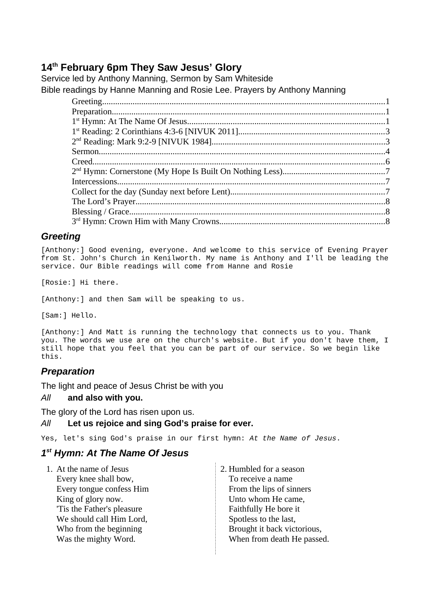# **14th February 6pm They Saw Jesus' Glory**

Service led by Anthony Manning, Sermon by Sam Whiteside Bible readings by Hanne Manning and Rosie Lee. Prayers by Anthony Manning

## <span id="page-0-2"></span>*Greeting*

[Anthony:] Good evening, everyone. And welcome to this service of Evening Prayer from St. John's Church in Kenilworth. My name is Anthony and I'll be leading the service. Our Bible readings will come from Hanne and Rosie

[Rosie:] Hi there.

[Anthony:] and then Sam will be speaking to us.

[Sam:] Hello.

[Anthony:] And Matt is running the technology that connects us to you. Thank you. The words we use are on the church's website. But if you don't have them, I still hope that you feel that you can be part of our service. So we begin like this.

## <span id="page-0-1"></span>*Preparation*

The light and peace of Jesus Christ be with you

### *All* **and also with you.**

The glory of the Lord has risen upon us.

### *All* **Let us rejoice and sing God's praise for ever.**

Yes, let's sing God's praise in our first hymn: *At the Name of Jesus*.

## <span id="page-0-0"></span>*1 st Hymn: At The Name Of Jesus*

1. At the name of Jesus Every knee shall bow, Every tongue confess Him King of glory now. 'Tis the Father's pleasure We should call Him Lord, Who from the beginning Was the mighty Word.

2. Humbled for a season To receive a name From the lips of sinners Unto whom He came, Faithfully He bore it Spotless to the last, Brought it back victorious, When from death He passed.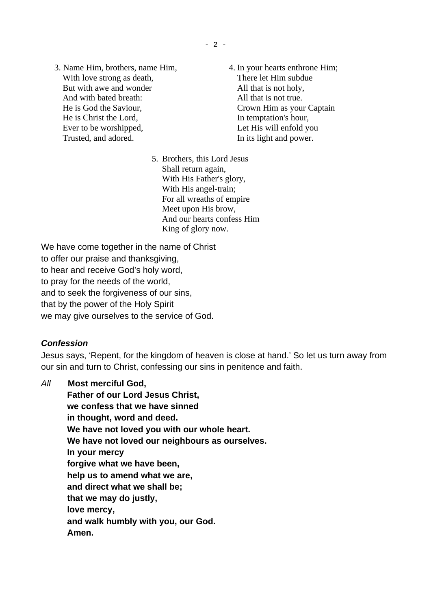- 3. Name Him, brothers, name Him, With love strong as death, But with awe and wonder And with bated breath: He is God the Saviour, He is Christ the Lord, Ever to be worshipped, Trusted, and adored.
- 4. In your hearts enthrone Him; There let Him subdue All that is not holy, All that is not true. Crown Him as your Captain In temptation's hour, Let His will enfold you In its light and power.
- 5. Brothers, this Lord Jesus Shall return again, With His Father's glory, With His angel-train; For all wreaths of empire Meet upon His brow, And our hearts confess Him King of glory now.

We have come together in the name of Christ to offer our praise and thanksgiving. to hear and receive God's holy word, to pray for the needs of the world, and to seek the forgiveness of our sins, that by the power of the Holy Spirit we may give ourselves to the service of God.

## *Confession*

Jesus says, 'Repent, for the kingdom of heaven is close at hand.' So let us turn away from our sin and turn to Christ, confessing our sins in penitence and faith.

*All* **Most merciful God, Father of our Lord Jesus Christ, we confess that we have sinned in thought, word and deed. We have not loved you with our whole heart. We have not loved our neighbours as ourselves. In your mercy forgive what we have been, help us to amend what we are, and direct what we shall be; that we may do justly, love mercy, and walk humbly with you, our God. Amen.**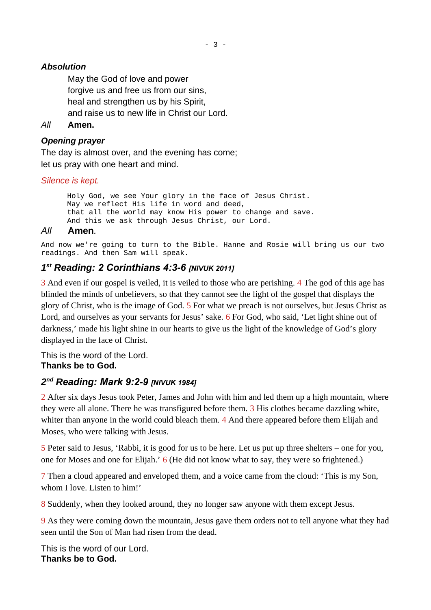## *Absolution*

May the God of love and power forgive us and free us from our sins, heal and strengthen us by his Spirit, and raise us to new life in Christ our Lord.

*All* **Amen.**

### *Opening prayer*

The day is almost over, and the evening has come; let us pray with one heart and mind.

#### *Silence is kept.*

Holy God, we see Your glory in the face of Jesus Christ. May we reflect His life in word and deed, that all the world may know His power to change and save. And this we ask through Jesus Christ, our Lord.

### *All* **Amen***.*

And now we're going to turn to the Bible. Hanne and Rosie will bring us our two readings. And then Sam will speak.

## <span id="page-2-1"></span>*1 st Reading: 2 Corinthians 4:3-6 [NIVUK 2011]*

3 And even if our gospel is veiled, it is veiled to those who are perishing. 4 The god of this age has blinded the minds of unbelievers, so that they cannot see the light of the gospel that displays the glory of Christ, who is the image of God. 5 For what we preach is not ourselves, but Jesus Christ as Lord, and ourselves as your servants for Jesus' sake. 6 For God, who said, 'Let light shine out of darkness,' made his light shine in our hearts to give us the light of the knowledge of God's glory displayed in the face of Christ.

This is the word of the Lord. **Thanks be to God.**

## <span id="page-2-0"></span>*2 nd Reading: Mark 9:2-9 [NIVUK 1984]*

2 After six days Jesus took Peter, James and John with him and led them up a high mountain, where they were all alone. There he was transfigured before them. 3 His clothes became dazzling white, whiter than anyone in the world could bleach them. 4 And there appeared before them Elijah and Moses, who were talking with Jesus.

5 Peter said to Jesus, 'Rabbi, it is good for us to be here. Let us put up three shelters – one for you, one for Moses and one for Elijah.' 6 (He did not know what to say, they were so frightened.)

7 Then a cloud appeared and enveloped them, and a voice came from the cloud: 'This is my Son, whom I love. Listen to him!'

8 Suddenly, when they looked around, they no longer saw anyone with them except Jesus.

9 As they were coming down the mountain, Jesus gave them orders not to tell anyone what they had seen until the Son of Man had risen from the dead.

This is the word of our Lord. **Thanks be to God.**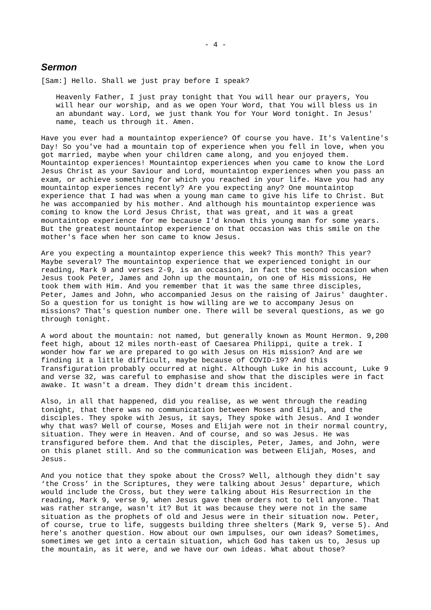#### <span id="page-3-0"></span>*Sermon*

[Sam:] Hello. Shall we just pray before I speak?

Heavenly Father, I just pray tonight that You will hear our prayers, You will hear our worship, and as we open Your Word, that You will bless us in an abundant way. Lord, we just thank You for Your Word tonight. In Jesus' name, teach us through it. Amen.

Have you ever had a mountaintop experience? Of course you have. It's Valentine's Day! So you've had a mountain top of experience when you fell in love, when you got married, maybe when your children came along, and you enjoyed them. Mountaintop experiences! Mountaintop experiences when you came to know the Lord Jesus Christ as your Saviour and Lord, mountaintop experiences when you pass an exam, or achieve something for which you reached in your life. Have you had any mountaintop experiences recently? Are you expecting any? One mountaintop experience that I had was when a young man came to give his life to Christ. But he was accompanied by his mother. And although his mountaintop experience was coming to know the Lord Jesus Christ, that was great, and it was a great mountaintop experience for me because I'd known this young man for some years. But the greatest mountaintop experience on that occasion was this smile on the mother's face when her son came to know Jesus.

Are you expecting a mountaintop experience this week? This month? This year? Maybe several? The mountaintop experience that we experienced tonight in our reading, Mark 9 and verses 2-9, is an occasion, in fact the second occasion when Jesus took Peter, James and John up the mountain, on one of His missions, He took them with Him. And you remember that it was the same three disciples, Peter, James and John, who accompanied Jesus on the raising of Jairus' daughter. So a question for us tonight is how willing are we to accompany Jesus on missions? That's question number one. There will be several questions, as we go through tonight.

A word about the mountain: not named, but generally known as Mount Hermon. 9,200 feet high, about 12 miles north-east of Caesarea Philippi, quite a trek. I wonder how far we are prepared to go with Jesus on His mission? And are we finding it a little difficult, maybe because of COVID-19? And this Transfiguration probably occurred at night. Although Luke in his account, Luke 9 and verse 32, was careful to emphasise and show that the disciples were in fact awake. It wasn't a dream. They didn't dream this incident.

Also, in all that happened, did you realise, as we went through the reading tonight, that there was no communication between Moses and Elijah, and the disciples. They spoke with Jesus, it says, They spoke with Jesus. And I wonder why that was? Well of course, Moses and Elijah were not in their normal country, situation. They were in Heaven. And of course, and so was Jesus. He was transfigured before them. And that the disciples, Peter, James, and John, were on this planet still. And so the communication was between Elijah, Moses, and Jesus.

And you notice that they spoke about the Cross? Well, although they didn't say 'the Cross' in the Scriptures, they were talking about Jesus' departure, which would include the Cross, but they were talking about His Resurrection in the reading, Mark 9, verse 9, when Jesus gave them orders not to tell anyone. That was rather strange, wasn't it? But it was because they were not in the same situation as the prophets of old and Jesus were in their situation now. Peter, of course, true to life, suggests building three shelters (Mark 9, verse 5). And here's another question. How about our own impulses, our own ideas? Sometimes, sometimes we get into a certain situation, which God has taken us to, Jesus up the mountain, as it were, and we have our own ideas. What about those?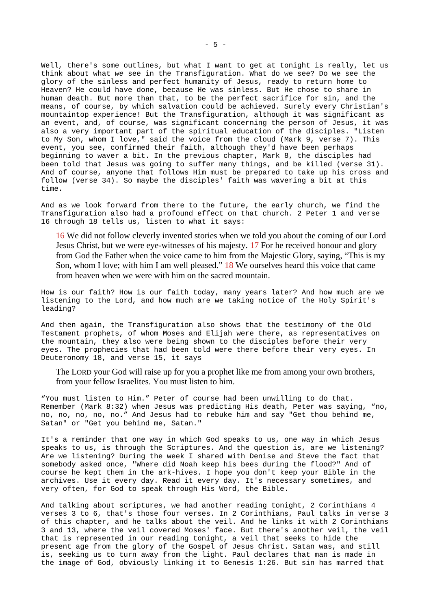Well, there's some outlines, but what I want to get at tonight is really, let us think about what *we* see in the Transfiguration. What do we see? Do we see the glory of the sinless and perfect humanity of Jesus, ready to return home to Heaven? He could have done, because He was sinless. But He chose to share in human death. But more than that, to be the perfect sacrifice for sin, and the means, of course, by which salvation could be achieved. Surely every Christian's mountaintop experience! But the Transfiguration, although it was significant as an event, and, of course, was significant concerning the person of Jesus, it was also a very important part of the spiritual education of the disciples. "Listen to My Son, whom I love," said the voice from the cloud (Mark 9, verse 7). This event, you see, confirmed their faith, although they'd have been perhaps beginning to waver a bit. In the previous chapter, Mark 8, the disciples had been told that Jesus was going to suffer many things, and be killed (verse 31). And of course, anyone that follows Him must be prepared to take up his cross and follow (verse 34). So maybe the disciples' faith was wavering a bit at this time.

And as we look forward from there to the future, the early church, we find the Transfiguration also had a profound effect on that church. 2 Peter 1 and verse 16 through 18 tells us, listen to what it says:

16 We did not follow cleverly invented stories when we told you about the coming of our Lord Jesus Christ, but we were eye-witnesses of his majesty. 17 For he received honour and glory from God the Father when the voice came to him from the Majestic Glory, saying, "This is my Son, whom I love; with him I am well pleased." 18 We ourselves heard this voice that came from heaven when we were with him on the sacred mountain.

How is our faith? How is our faith today, many years later? And how much are we listening to the Lord, and how much are we taking notice of the Holy Spirit's leading?

And then again, the Transfiguration also shows that the testimony of the Old Testament prophets, of whom Moses and Elijah were there, as representatives on the mountain, they also were being shown to the disciples before their very eyes. The prophecies that had been told were there before their very eyes. In Deuteronomy 18, and verse 15, it says

The LORD your God will raise up for you a prophet like me from among your own brothers, from your fellow Israelites. You must listen to him.

"You must listen to Him." Peter of course had been unwilling to do that. Remember (Mark 8:32) when Jesus was predicting His death, Peter was saying, "no, no, no, no, no, no." And Jesus had to rebuke him and say "Get thou behind me, Satan" or "Get you behind me, Satan."

It's a reminder that one way in which God speaks to us, one way in which Jesus speaks to us, is through the Scriptures. And the question is, are we listening? Are we listening? During the week I shared with Denise and Steve the fact that somebody asked once, "Where did Noah keep his bees during the flood?" And of course he kept them in the ark-hives. I hope you don't keep your Bible in the archives. Use it every day. Read it every day. It's necessary sometimes, and very often, for God to speak through His Word, the Bible.

And talking about scriptures, we had another reading tonight, 2 Corinthians 4 verses 3 to 6, that's those four verses. In 2 Corinthians, Paul talks in verse 3 of this chapter, and he talks about the veil. And he links it with 2 Corinthians 3 and 13, where the veil covered Moses' face. But there's another veil, the veil that is represented in our reading tonight, a veil that seeks to hide the present age from the glory of the Gospel of Jesus Christ. Satan was, and still is, seeking us to turn away from the light. Paul declares that man is made in the image of God, obviously linking it to Genesis 1:26. But sin has marred that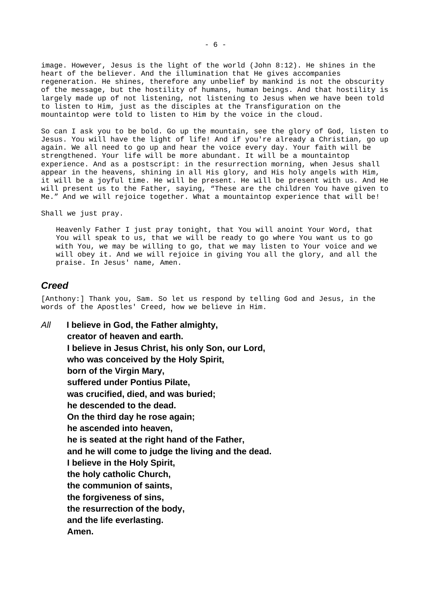image. However, Jesus is the light of the world (John 8:12). He shines in the heart of the believer. And the illumination that He gives accompanies regeneration. He shines, therefore any unbelief by mankind is not the obscurity of the message, but the hostility of humans, human beings. And that hostility is largely made up of not listening, not listening to Jesus when we have been told to listen to Him, just as the disciples at the Transfiguration on the mountaintop were told to listen to Him by the voice in the cloud.

So can I ask you to be bold. Go up the mountain, see the glory of God, listen to Jesus. You will have the light of life! And if you're already a Christian, go up again. We all need to go up and hear the voice every day. Your faith will be strengthened. Your life will be more abundant. It will be a mountaintop experience. And as a postscript: in the resurrection morning, when Jesus shall appear in the heavens, shining in all His glory, and His holy angels with Him, it will be a joyful time. He will be present. He will be present with us. And He will present us to the Father, saying, "These are the children You have given to Me." And we will rejoice together. What a mountaintop experience that will be!

Shall we just pray.

Heavenly Father I just pray tonight, that You will anoint Your Word, that You will speak to us, that we will be ready to go where You want us to go with You, we may be willing to go, that we may listen to Your voice and we will obey it. And we will rejoice in giving You all the glory, and all the praise. In Jesus' name, Amen.

#### <span id="page-5-0"></span>*Creed*

[Anthony:] Thank you, Sam. So let us respond by telling God and Jesus, in the words of the Apostles' Creed, how we believe in Him.

*All* **I believe in God, the Father almighty, creator of heaven and earth. I believe in Jesus Christ, his only Son, our Lord, who was conceived by the Holy Spirit, born of the Virgin Mary, suffered under Pontius Pilate, was crucified, died, and was buried; he descended to the dead. On the third day he rose again; he ascended into heaven, he is seated at the right hand of the Father, and he will come to judge the living and the dead. I believe in the Holy Spirit, the holy catholic Church, the communion of saints, the forgiveness of sins, the resurrection of the body, and the life everlasting. Amen.**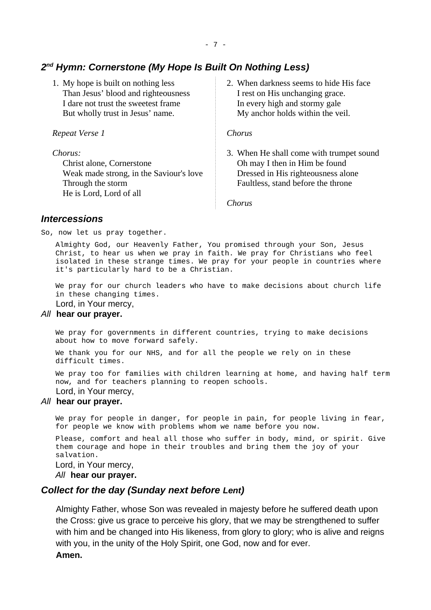## <span id="page-6-2"></span>*2 nd Hymn: Cornerstone (My Hope Is Built On Nothing Less)*

1. My hope is built on nothing less Than Jesus' blood and righteousness I dare not trust the sweetest frame But wholly trust in Jesus' name.

*Repeat Verse 1*

*Chorus:*

Christ alone, Cornerstone Weak made strong, in the Saviour's love Through the storm He is Lord, Lord of all

2. When darkness seems to hide His face I rest on His unchanging grace. In every high and stormy gale My anchor holds within the veil.

*Chorus*

3. When He shall come with trumpet sound Oh may I then in Him be found Dressed in His righteousness alone Faultless, stand before the throne

*Chorus*

### <span id="page-6-1"></span>*Intercessions*

So, now let us pray together.

Almighty God, our Heavenly Father, You promised through your Son, Jesus Christ, to hear us when we pray in faith. We pray for Christians who feel isolated in these strange times. We pray for your people in countries where it's particularly hard to be a Christian.

We pray for our church leaders who have to make decisions about church life in these changing times.

Lord, in Your mercy,

#### *All* **hear our prayer.**

We pray for governments in different countries, trying to make decisions about how to move forward safely.

We thank you for our NHS, and for all the people we rely on in these difficult times.

We pray too for families with children learning at home, and having half term now, and for teachers planning to reopen schools. Lord, in Your mercy,

#### *All* **hear our prayer.**

We pray for people in danger, for people in pain, for people living in fear, for people we know with problems whom we name before you now.

Please, comfort and heal all those who suffer in body, mind, or spirit. Give them courage and hope in their troubles and bring them the joy of your salvation.

Lord, in Your mercy,

*All* **hear our prayer.**

### <span id="page-6-0"></span>*Collect for the day (Sunday next before Lent)*

Almighty Father, whose Son was revealed in majesty before he suffered death upon the Cross: give us grace to perceive his glory, that we may be strengthened to suffer with him and be changed into His likeness, from glory to glory; who is alive and reigns with you, in the unity of the Holy Spirit, one God, now and for ever. **Amen.**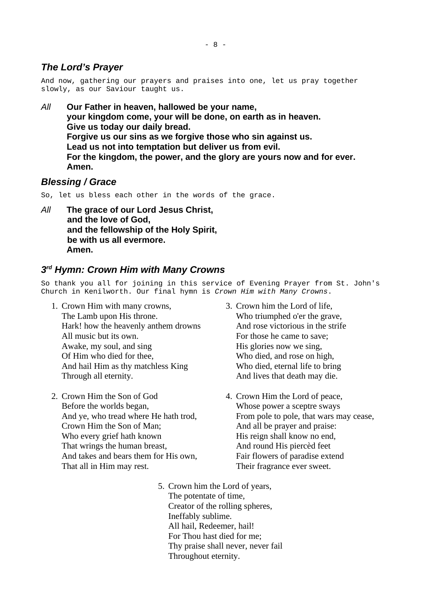## <span id="page-7-2"></span>*The Lord's Prayer*

And now, gathering our prayers and praises into one, let us pray together slowly, as our Saviour taught us.

*All* **Our Father in heaven, hallowed be your name, your kingdom come, your will be done, on earth as in heaven. Give us today our daily bread. Forgive us our sins as we forgive those who sin against us. Lead us not into temptation but deliver us from evil. For the kingdom, the power, and the glory are yours now and for ever. Amen.**

## <span id="page-7-1"></span>*Blessing / Grace*

So, let us bless each other in the words of the grace.

*All* **The grace of our Lord Jesus Christ, and the love of God, and the fellowship of the Holy Spirit, be with us all evermore. Amen.**

### <span id="page-7-0"></span>*3 rd Hymn: Crown Him with Many Crowns*

So thank you all for joining in this service of Evening Prayer from St. John's Church in Kenilworth. Our final hymn is *Crown Him with Many Crowns*.

- 1. Crown Him with many crowns, The Lamb upon His throne. Hark! how the heavenly anthem drowns All music but its own. Awake, my soul, and sing Of Him who died for thee, And hail Him as thy matchless King Through all eternity.
- 2. Crown Him the Son of God Before the worlds began, And ye, who tread where He hath trod, Crown Him the Son of Man; Who every grief hath known That wrings the human breast, And takes and bears them for His own, That all in Him may rest.
- 3. Crown him the Lord of life, Who triumphed o'er the grave, And rose victorious in the strife For those he came to save; His glories now we sing, Who died, and rose on high, Who died, eternal life to bring And lives that death may die.
- 4. Crown Him the Lord of peace, Whose power a sceptre sways From pole to pole, that wars may cease, And all be prayer and praise: His reign shall know no end, And round His piercèd feet Fair flowers of paradise extend Their fragrance ever sweet.
- 5. Crown him the Lord of years, The potentate of time, Creator of the rolling spheres, Ineffably sublime. All hail, Redeemer, hail! For Thou hast died for me; Thy praise shall never, never fail Throughout eternity.